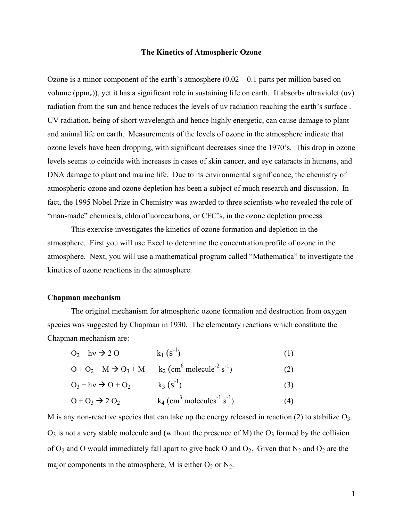### **The Kinetics of Atmospheric Ozone**

Ozone is a minor component of the earth's atmosphere  $(0.02 - 0.1$  parts per million based on volume ( $ppm_v$ )), yet it has a significant role in sustaining life on earth. It absorbs ultraviolet ( $uv$ ) radiation from the sun and hence reduces the levels of uv radiation reaching the earth's surface . UV radiation, being of short wavelength and hence highly energetic, can cause damage to plant and animal life on earth. Measurements of the levels of ozone in the atmosphere indicate that ozone levels have been dropping, with significant decreases since the 1970's. This drop in ozone levels seems to coincide with increases in cases of skin cancer, and eye cataracts in humans, and DNA damage to plant and marine life. Due to its environmental significance, the chemistry of atmospheric ozone and ozone depletion has been a subject of much research and discussion. In fact, the 1995 Nobel Prize in Chemistry was awarded to three scientists who revealed the role of "man-made" chemicals, chlorofluorocarbons, or CFC's, in the ozone depletion process.

This exercise investigates the kinetics of ozone formation and depletion in the atmosphere. First you will use Excel to determine the concentration profile of ozone in the atmosphere. Next, you will use a mathematical program called "Mathematica" to investigate the kinetics of ozone reactions in the atmosphere.

#### **Chapman mechanism**

The original mechanism for atmospheric ozone formation and destruction from oxygen species was suggested by Chapman in 1930. The elementary reactions which constitute the Chapman mechanism are:

| $O_2 + hv \rightarrow 2 O$ | $k_1$ (s <sup>-1</sup> ) | (1) |
|----------------------------|--------------------------|-----|
|                            |                          |     |

$$
O + O_2 + M \rightarrow O_3 + M \qquad k_2 \left( \text{cm}^6 \text{ molecule}^{-2} \text{ s}^{-1} \right) \tag{2}
$$

$$
O_3 + hv \rightarrow O + O_2
$$
  $k_3 (s-1)$  (3)

$$
O + O_3 \rightarrow 2 O_2 \qquad k_4 \left( \text{cm}^3 \text{ molecules}^{-1} \text{ s}^{-1} \right) \tag{4}
$$

M is any non-reactive species that can take up the energy released in reaction (2) to stabilize  $O_3$ .  $O_3$  is not a very stable molecule and (without the presence of M) the  $O_3$  formed by the collision of  $O_2$  and O would immediately fall apart to give back O and  $O_2$ . Given that  $N_2$  and  $O_2$  are the major components in the atmosphere, M is either  $O_2$  or  $N_2$ .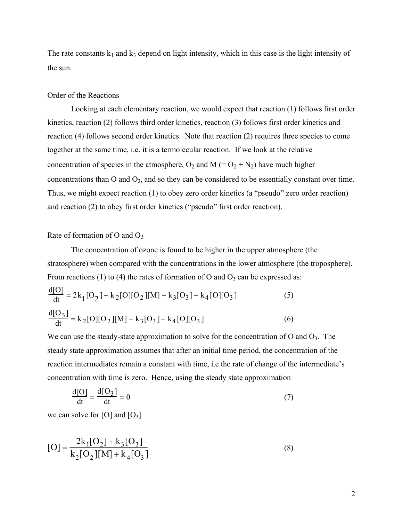The rate constants  $k_1$  and  $k_3$  depend on light intensity, which in this case is the light intensity of the sun.

### Order of the Reactions

Looking at each elementary reaction, we would expect that reaction (1) follows first order kinetics, reaction (2) follows third order kinetics, reaction (3) follows first order kinetics and reaction (4) follows second order kinetics. Note that reaction (2) requires three species to come together at the same time, i.e. it is a termolecular reaction. If we look at the relative concentration of species in the atmosphere,  $O_2$  and  $M (= O_2 + N_2)$  have much higher concentrations than  $O$  and  $O_3$ , and so they can be considered to be essentially constant over time. Thus, we might expect reaction (1) to obey zero order kinetics (a "pseudo" zero order reaction) and reaction (2) to obey first order kinetics ("pseudo" first order reaction).

## Rate of formation of  $O$  and  $O_3$

The concentration of ozone is found to be higher in the upper atmosphere (the stratosphere) when compared with the concentrations in the lower atmosphere (the troposphere). From reactions (1) to (4) the rates of formation of O and  $O_3$  can be expressed as:

$$
\frac{d[O]}{dt} = 2k_1[O_2] - k_2[O][O_2][M] + k_3[O_3] - k_4[O][O_3]
$$
\n(5)\n
$$
\frac{d[O_3]}{dt} = k_2[O][O_2][M] - k_3[O_3] - k_4[O][O_3]
$$
\n(6)

We can use the steady-state approximation to solve for the concentration of O and  $O_3$ . The steady state approximation assumes that after an initial time period, the concentration of the reaction intermediates remain a constant with time, i.e the rate of change of the intermediate's concentration with time is zero. Hence, using the steady state approximation

$$
\frac{d[O]}{dt} = \frac{d[O_3]}{dt} = 0\tag{7}
$$

we can solve for [O] and  $[O_3]$ 

$$
[O] = \frac{2k_1[O_2] + k_3[O_3]}{k_2[O_2][M] + k_4[O_3]}
$$
\n(8)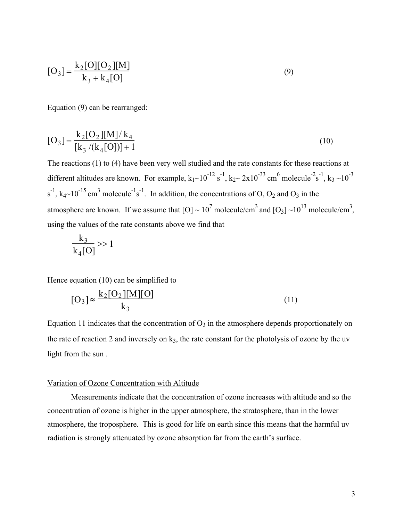$$
[O_3] = \frac{k_2[O][O_2][M]}{k_3 + k_4[O]}
$$
\n(9)

Equation (9) can be rearranged:

$$
[O_3] = \frac{k_2 [O_2][M]/k_4}{[k_3/(k_4 [O])] + 1}
$$
 (10)

The reactions (1) to (4) have been very well studied and the rate constants for these reactions at different altitudes are known. For example,  $k_1 \sim 10^{-12}$  s<sup>-1</sup>,  $k_2 \sim 2 \times 10^{-33}$  cm<sup>6</sup> molecule<sup>-2</sup>s<sup>-1</sup>,  $k_3 \sim 10^{-3}$  $s^{-1}$ ,  $k_4 \sim 10^{-15}$  cm<sup>3</sup> molecule<sup>-1</sup>s<sup>-1</sup>. In addition, the concentrations of O, O<sub>2</sub> and O<sub>3</sub> in the atmosphere are known. If we assume that  $[O] \sim 10^7$  molecule/cm<sup>3</sup> and  $[O_3] \sim 10^{13}$  molecule/cm<sup>3</sup>, using the values of the rate constants above we find that

$$
\frac{k_3}{k_4[0]}\gg 1
$$

Hence equation (10) can be simplified to

$$
[O3] \approx \frac{k_2 [O_2][M][O]}{k_3}
$$
 (11)

Equation 11 indicates that the concentration of  $O_3$  in the atmosphere depends proportionately on the rate of reaction 2 and inversely on  $k_3$ , the rate constant for the photolysis of ozone by the uv light from the sun .

### Variation of Ozone Concentration with Altitude

Measurements indicate that the concentration of ozone increases with altitude and so the concentration of ozone is higher in the upper atmosphere, the stratosphere, than in the lower atmosphere, the troposphere. This is good for life on earth since this means that the harmful uv radiation is strongly attenuated by ozone absorption far from the earth's surface.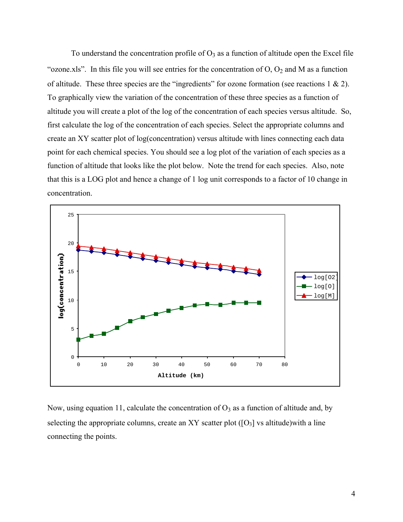To understand the concentration profile of  $O_3$  as a function of altitude open the Excel file "ozone.xls". In this file you will see entries for the concentration of  $O$ ,  $O_2$  and M as a function of altitude. These three species are the "ingredients" for ozone formation (see reactions  $1 \& 2$ ). To graphically view the variation of the concentration of these three species as a function of altitude you will create a plot of the log of the concentration of each species versus altitude. So, first calculate the log of the concentration of each species. Select the appropriate columns and create an XY scatter plot of log(concentration) versus altitude with lines connecting each data point for each chemical species. You should see a log plot of the variation of each species as a function of altitude that looks like the plot below. Note the trend for each species. Also, note that this is a LOG plot and hence a change of 1 log unit corresponds to a factor of 10 change in concentration.



Now, using equation 11, calculate the concentration of  $O_3$  as a function of altitude and, by selecting the appropriate columns, create an XY scatter plot  $([O_3]$  vs altitude) with a line connecting the points.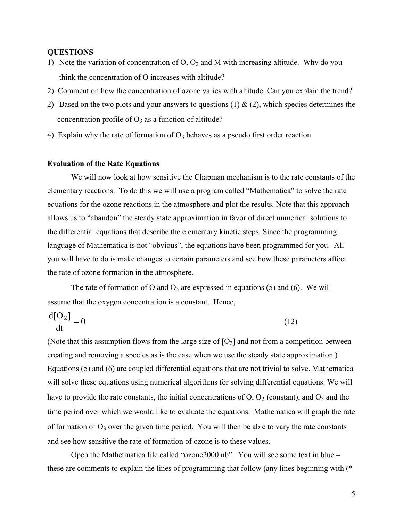# **QUESTIONS**

- 1) Note the variation of concentration of  $O$ ,  $O_2$  and M with increasing altitude. Why do you think the concentration of O increases with altitude?
- 2) Comment on how the concentration of ozone varies with altitude. Can you explain the trend?
- 2) Based on the two plots and your answers to questions (1)  $\&$  (2), which species determines the concentration profile of  $O_3$  as a function of altitude?
- 4) Explain why the rate of formation of  $O_3$  behaves as a pseudo first order reaction.

## **Evaluation of the Rate Equations**

We will now look at how sensitive the Chapman mechanism is to the rate constants of the elementary reactions. To do this we will use a program called "Mathematica" to solve the rate equations for the ozone reactions in the atmosphere and plot the results. Note that this approach allows us to "abandon" the steady state approximation in favor of direct numerical solutions to the differential equations that describe the elementary kinetic steps. Since the programming language of Mathematica is not "obvious", the equations have been programmed for you. All you will have to do is make changes to certain parameters and see how these parameters affect the rate of ozone formation in the atmosphere.

The rate of formation of O and  $O_3$  are expressed in equations (5) and (6). We will assume that the oxygen concentration is a constant. Hence,

$$
\frac{d[O_2]}{dt} = 0\tag{12}
$$

(Note that this assumption flows from the large size of  $[O_2]$  and not from a competition between creating and removing a species as is the case when we use the steady state approximation.) Equations (5) and (6) are coupled differential equations that are not trivial to solve. Mathematica will solve these equations using numerical algorithms for solving differential equations. We will have to provide the rate constants, the initial concentrations of  $O$ ,  $O_2$  (constant), and  $O_3$  and the time period over which we would like to evaluate the equations. Mathematica will graph the rate of formation of  $O_3$  over the given time period. You will then be able to vary the rate constants and see how sensitive the rate of formation of ozone is to these values.

Open the Mathetmatica file called "ozone2000.nb". You will see some text in blue – these are comments to explain the lines of programming that follow (any lines beginning with (\*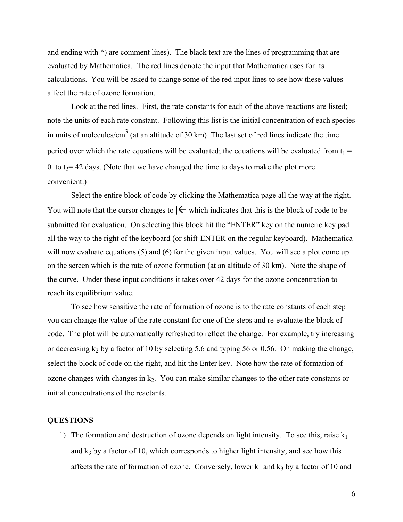and ending with \*) are comment lines). The black text are the lines of programming that are evaluated by Mathematica. The red lines denote the input that Mathematica uses for its calculations. You will be asked to change some of the red input lines to see how these values affect the rate of ozone formation.

Look at the red lines. First, the rate constants for each of the above reactions are listed; note the units of each rate constant. Following this list is the initial concentration of each species in units of molecules/cm<sup>3</sup> (at an altitude of 30 km) The last set of red lines indicate the time period over which the rate equations will be evaluated; the equations will be evaluated from  $t_1$  = 0 to  $t_2$  = 42 days. (Note that we have changed the time to days to make the plot more convenient.)

Select the entire block of code by clicking the Mathematica page all the way at the right. You will note that the cursor changes to  $|\n\leftarrow$  which indicates that this is the block of code to be submitted for evaluation. On selecting this block hit the "ENTER" key on the numeric key pad all the way to the right of the keyboard (or shift-ENTER on the regular keyboard). Mathematica will now evaluate equations (5) and (6) for the given input values. You will see a plot come up on the screen which is the rate of ozone formation (at an altitude of 30 km). Note the shape of the curve. Under these input conditions it takes over 42 days for the ozone concentration to reach its equilibrium value.

To see how sensitive the rate of formation of ozone is to the rate constants of each step you can change the value of the rate constant for one of the steps and re-evaluate the block of code. The plot will be automatically refreshed to reflect the change. For example, try increasing or decreasing  $k_2$  by a factor of 10 by selecting 5.6 and typing 56 or 0.56. On making the change, select the block of code on the right, and hit the Enter key. Note how the rate of formation of ozone changes with changes in  $k<sub>2</sub>$ . You can make similar changes to the other rate constants or initial concentrations of the reactants.

## **QUESTIONS**

1) The formation and destruction of ozone depends on light intensity. To see this, raise  $k_1$ and  $k_3$  by a factor of 10, which corresponds to higher light intensity, and see how this affects the rate of formation of ozone. Conversely, lower  $k_1$  and  $k_3$  by a factor of 10 and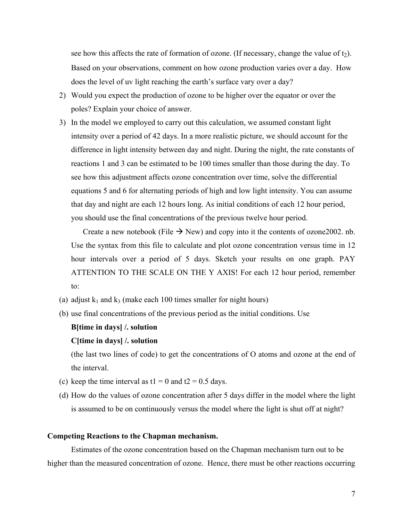see how this affects the rate of formation of ozone. (If necessary, change the value of  $t_2$ ). Based on your observations, comment on how ozone production varies over a day. How does the level of uv light reaching the earth's surface vary over a day?

- 2) Would you expect the production of ozone to be higher over the equator or over the poles? Explain your choice of answer.
- 3) In the model we employed to carry out this calculation, we assumed constant light intensity over a period of 42 days. In a more realistic picture, we should account for the difference in light intensity between day and night. During the night, the rate constants of reactions 1 and 3 can be estimated to be 100 times smaller than those during the day. To see how this adjustment affects ozone concentration over time, solve the differential equations 5 and 6 for alternating periods of high and low light intensity. You can assume that day and night are each 12 hours long. As initial conditions of each 12 hour period, you should use the final concentrations of the previous twelve hour period.

Create a new notebook (File  $\rightarrow$  New) and copy into it the contents of ozone 2002. nb. Use the syntax from this file to calculate and plot ozone concentration versus time in 12 hour intervals over a period of 5 days. Sketch your results on one graph. PAY ATTENTION TO THE SCALE ON THE Y AXIS! For each 12 hour period, remember to:

- (a) adjust  $k_1$  and  $k_3$  (make each 100 times smaller for night hours)
- (b) use final concentrations of the previous period as the initial conditions. Use

## **B[time in days] /. solution**

## **C[time in days] /. solution**

(the last two lines of code) to get the concentrations of O atoms and ozone at the end of the interval.

- (c) keep the time interval as  $t1 = 0$  and  $t2 = 0.5$  days.
- (d) How do the values of ozone concentration after 5 days differ in the model where the light is assumed to be on continuously versus the model where the light is shut off at night?

#### **Competing Reactions to the Chapman mechanism.**

Estimates of the ozone concentration based on the Chapman mechanism turn out to be higher than the measured concentration of ozone. Hence, there must be other reactions occurring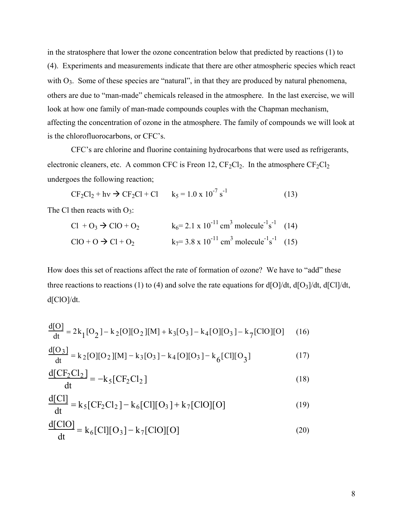in the stratosphere that lower the ozone concentration below that predicted by reactions (1) to (4). Experiments and measurements indicate that there are other atmospheric species which react with  $O_3$ . Some of these species are "natural", in that they are produced by natural phenomena, others are due to "man-made" chemicals released in the atmosphere. In the last exercise, we will look at how one family of man-made compounds couples with the Chapman mechanism, affecting the concentration of ozone in the atmosphere. The family of compounds we will look at is the chlorofluorocarbons, or CFC's.

CFC's are chlorine and fluorine containing hydrocarbons that were used as refrigerants, electronic cleaners, etc. A common CFC is Freon 12,  $CF_2Cl_2$ . In the atmosphere  $CF_2Cl_2$ undergoes the following reaction;

 $CF_2Cl_2 + hv \rightarrow CF_2Cl + Cl$   $k_5 = 1.0 \times 10^{-7} s$  $(13)$ 

The Cl then reacts with  $O_3$ :

 $d = 2$ 

Cl + O<sub>3</sub> 
$$
\rightarrow
$$
 ClO + O<sub>2</sub>  $k_6 = 2.1 \times 10^{-11} \text{ cm}^3 \text{ molecule}^{-1} \text{s}^{-1}$  (14)  
ClO + O  $\rightarrow$  Cl + O<sub>2</sub>  $k_7 = 3.8 \times 10^{-11} \text{ cm}^3 \text{ molecule}^{-1} \text{s}^{-1}$  (15)

How does this set of reactions affect the rate of formation of ozone? We have to "add" these three reactions to reactions (1) to (4) and solve the rate equations for  $d[O]/dt$ ,  $d[O_3]/dt$ ,  $d[Cl]/dt$ ,  $d[ClO]/dt$ .

$$
\frac{d[O]}{dt} = 2k_1[O_2] - k_2[O][O_2][M] + k_3[O_3] - k_4[O][O_3] - k_7[C]O[O]
$$
 (16)

$$
\frac{d[O_3]}{dt} = k_2[O][O_2][M] - k_3[O_3] - k_4[O][O_3] - k_6[C][O_3]
$$
\n(17)

$$
\frac{d[CF_2Cl_2]}{dt} = -k_5[CF_2Cl_2]
$$
\n(18)

$$
\frac{d[Cl]}{dt} = k_5 [CF_2Cl_2] - k_6 [Cl][O_3] + k_7 [ClO][O]
$$
\n(19)

$$
\frac{d[ClO]}{dt} = k_6[Cl][O_3] - k_7[ClO][O]
$$
\n(20)